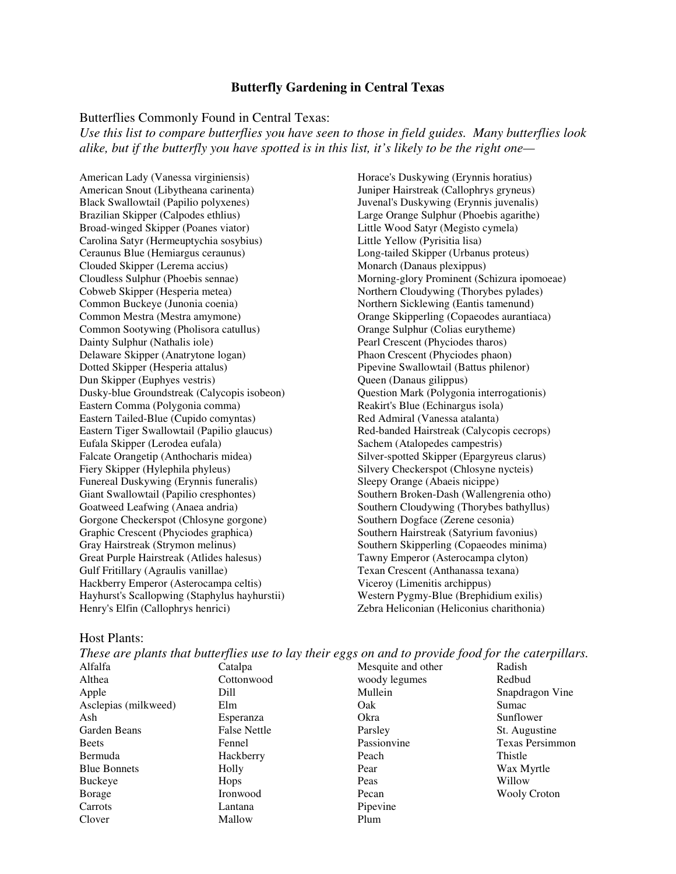# **Butterfly Gardening in Central Texas**

#### Butterflies Commonly Found in Central Texas:

*Use this list to compare butterflies you have seen to those in field guides. Many butterflies look alike, but if the butterfly you have spotted is in this list, it's likely to be the right one—* 

American Lady (Vanessa virginiensis) American Snout (Libytheana carinenta) Black Swallowtail (Papilio polyxenes) Brazilian Skipper (Calpodes ethlius) Broad-winged Skipper (Poanes viator) Carolina Satyr (Hermeuptychia sosybius) Ceraunus Blue (Hemiargus ceraunus) Clouded Skipper (Lerema accius) Cloudless Sulphur (Phoebis sennae) Cobweb Skipper (Hesperia metea) Common Buckeye (Junonia coenia) Common Mestra (Mestra amymone) Common Sootywing (Pholisora catullus) Dainty Sulphur (Nathalis iole) Delaware Skipper (Anatrytone logan) Dotted Skipper (Hesperia attalus) Dun Skipper (Euphyes vestris) Dusky-blue Groundstreak (Calycopis isobeon) Eastern Comma (Polygonia comma) Eastern Tailed-Blue (Cupido comyntas) Eastern Tiger Swallowtail (Papilio glaucus) Eufala Skipper (Lerodea eufala) Falcate Orangetip (Anthocharis midea) Fiery Skipper (Hylephila phyleus) Funereal Duskywing (Erynnis funeralis) Giant Swallowtail (Papilio cresphontes) Goatweed Leafwing (Anaea andria) Gorgone Checkerspot (Chlosyne gorgone) Graphic Crescent (Phyciodes graphica) Gray Hairstreak (Strymon melinus) Great Purple Hairstreak (Atlides halesus) Gulf Fritillary (Agraulis vanillae) Hackberry Emperor (Asterocampa celtis) Hayhurst's Scallopwing (Staphylus hayhurstii) Henry's Elfin (Callophrys henrici)

Horace's Duskywing (Erynnis horatius) Juniper Hairstreak (Callophrys gryneus) Juvenal's Duskywing (Erynnis juvenalis) Large Orange Sulphur (Phoebis agarithe) Little Wood Satyr (Megisto cymela) Little Yellow (Pyrisitia lisa) Long-tailed Skipper (Urbanus proteus) Monarch (Danaus plexippus) Morning-glory Prominent (Schizura ipomoeae) Northern Cloudywing (Thorybes pylades) Northern Sicklewing (Eantis tamenund) Orange Skipperling (Copaeodes aurantiaca) Orange Sulphur (Colias eurytheme) Pearl Crescent (Phyciodes tharos) Phaon Crescent (Phyciodes phaon) Pipevine Swallowtail (Battus philenor) Queen (Danaus gilippus) Question Mark (Polygonia interrogationis) Reakirt's Blue (Echinargus isola) Red Admiral (Vanessa atalanta) Red-banded Hairstreak (Calycopis cecrops) Sachem (Atalopedes campestris) Silver-spotted Skipper (Epargyreus clarus) Silvery Checkerspot (Chlosyne nycteis) Sleepy Orange (Abaeis nicippe) Southern Broken-Dash (Wallengrenia otho) Southern Cloudywing (Thorybes bathyllus) Southern Dogface (Zerene cesonia) Southern Hairstreak (Satyrium favonius) Southern Skipperling (Copaeodes minima) Tawny Emperor (Asterocampa clyton) Texan Crescent (Anthanassa texana) Viceroy (Limenitis archippus) Western Pygmy-Blue (Brephidium exilis) Zebra Heliconian (Heliconius charithonia)

#### Host Plants:

| These are plants that butterflies use to lay their eggs on and to provide food for the caterpillars. |                     |                    |                        |  |  |
|------------------------------------------------------------------------------------------------------|---------------------|--------------------|------------------------|--|--|
| Alfalfa                                                                                              | Catalpa             | Mesquite and other | Radish                 |  |  |
| Althea                                                                                               | Cottonwood          | woody legumes      | Redbud                 |  |  |
| Apple                                                                                                | Dill                | Mullein            | Snapdragon Vine        |  |  |
| Asclepias (milkweed)                                                                                 | Elm                 | Oak                | Sumac                  |  |  |
| Ash                                                                                                  | Esperanza           | Okra               | Sunflower              |  |  |
| Garden Beans                                                                                         | <b>False Nettle</b> | Parsley            | St. Augustine          |  |  |
| <b>Beets</b>                                                                                         | Fennel              | Passionvine        | <b>Texas Persimmon</b> |  |  |
| Bermuda                                                                                              | Hackberry           | Peach              | Thistle                |  |  |
| <b>Blue Bonnets</b>                                                                                  | Holly               | Pear               | Wax Myrtle             |  |  |
| Buckeye                                                                                              | Hops                | Peas               | Willow                 |  |  |
| Borage                                                                                               | Ironwood            | Pecan              | <b>Wooly Croton</b>    |  |  |
| Carrots                                                                                              | Lantana             | Pipevine           |                        |  |  |
| Clover                                                                                               | Mallow              | Plum               |                        |  |  |